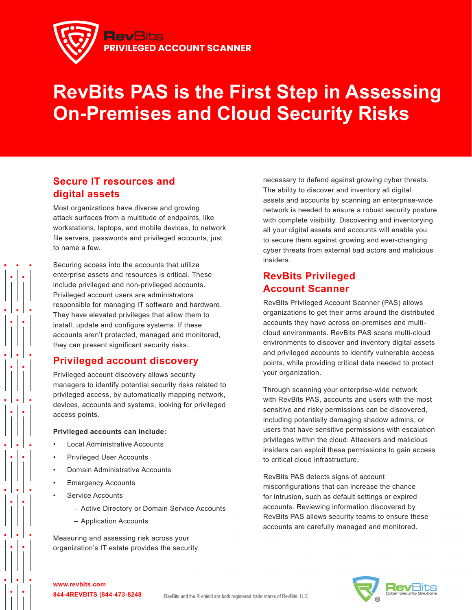

# **RevBits PAS is the First Step in Assessing On-Premises and Cloud Security Risks**

## **Secure IT resources and digital assets**

Most organizations have diverse and growing attack surfaces from a multitude of endpoints, like workstations, laptops, and mobile devices, to network file servers, passwords and privileged accounts, just to name a few.

Securing access into the accounts that utilize enterprise assets and resources is critical. These include privileged and non-privileged accounts. Privileged account users are administrators responsible for managing IT software and hardware. They have elevated privileges that allow them to install, update and configure systems. If these accounts aren't protected, managed and monitored, they can present significant security risks.

### **Privileged account discovery**

Privileged account discovery allows security managers to identify potential security risks related to privileged access, by automatically mapping network, devices, accounts and systems, looking for privileged access points.

#### **Privileged accounts can include:**

- Local Administrative Accounts
- Privileged User Accounts
- Domain Administrative Accounts
- **Emergency Accounts**
- Service Accounts
	- Active Directory or Domain Service Accounts
	- Application Accounts

Measuring and assessing risk across your organization's IT estate provides the security

necessary to defend against growing cyber threats. The ability to discover and inventory all digital assets and accounts by scanning an enterprise-wide network is needed to ensure a robust security posture with complete visibility. Discovering and inventorying all your digital assets and accounts will enable you to secure them against growing and ever-changing cyber threats from external bad actors and malicious insiders.

## **RevBits Privileged Account Scanner**

RevBits Privileged Account Scanner (PAS) allows organizations to get their arms around the distributed accounts they have across on-premises and multicloud environments. RevBits PAS scans multi-cloud environments to discover and inventory digital assets and privileged accounts to identify vulnerable access points, while providing critical data needed to protect your organization.

Through scanning your enterprise-wide network with RevBits PAS, accounts and users with the most sensitive and risky permissions can be discovered, including potentially damaging shadow admins, or users that have sensitive permissions with escalation privileges within the cloud. Attackers and malicious insiders can exploit these permissions to gain access to critical cloud infrastructure.

RevBits PAS detects signs of account misconfigurations that can increase the chance for intrusion, such as default settings or expired accounts. Reviewing information discovered by RevBits PAS allows security teams to ensure these accounts are carefully managed and monitored.



**www.revbits.com 844-4REVBITS (844-473-8248**